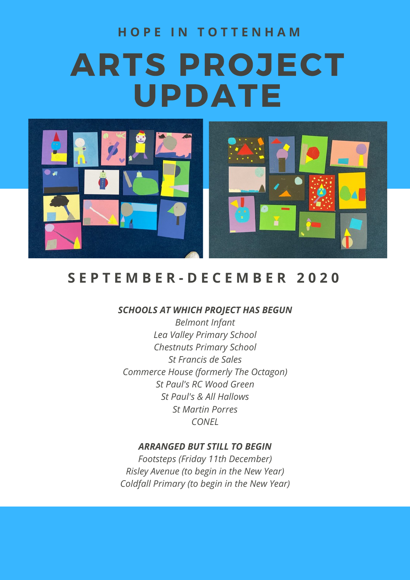# ARTS PROJECT UPDATE **H O P E I N T O T T E N H A M**



# **S E P T E M B E R - D E C E M B E R 2 0 2 0**

#### *SCHOOLS AT WHICH PROJECT HAS BEGUN*

*Belmont Infant Lea Valley Primary School Chestnuts Primary School St Francis de Sales Commerce House (formerly The Octagon) St Paul's RC Wood Green St Paul's & All Hallows St Martin Porres CONEL*

#### *ARRANGED BUT STILL TO BEGIN*

*Footsteps (Friday 11th December) Risley Avenue (to begin in the New Year) Coldfall Primary (to begin in the New Year)*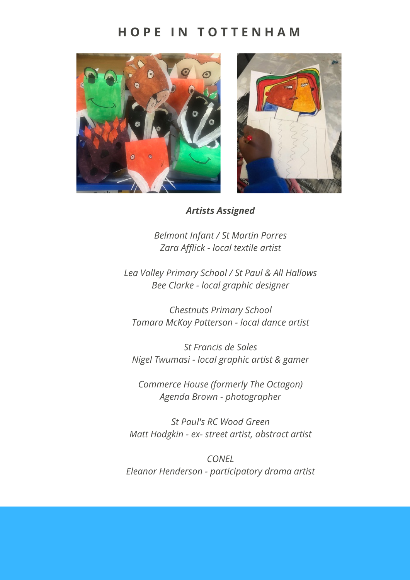### **H O P E I N T O T T E N H A M**





*Artists Assigned*

*Belmont Infant / St Martin Porres Zara Afflick - local textile artist*

*Lea Valley Primary School / St Paul & All Hallows Bee Clarke - local graphic designer*

*Chestnuts Primary School Tamara McKoy Patterson - local dance artist*

*St Francis de Sales Nigel Twumasi - local graphic artist & gamer*

*Commerce House (formerly The Octagon) Agenda Brown - photographer*

*St Paul's RC Wood Green Matt Hodgkin - ex- street artist, abstract artist*

*CONEL Eleanor Henderson - participatory drama artist*